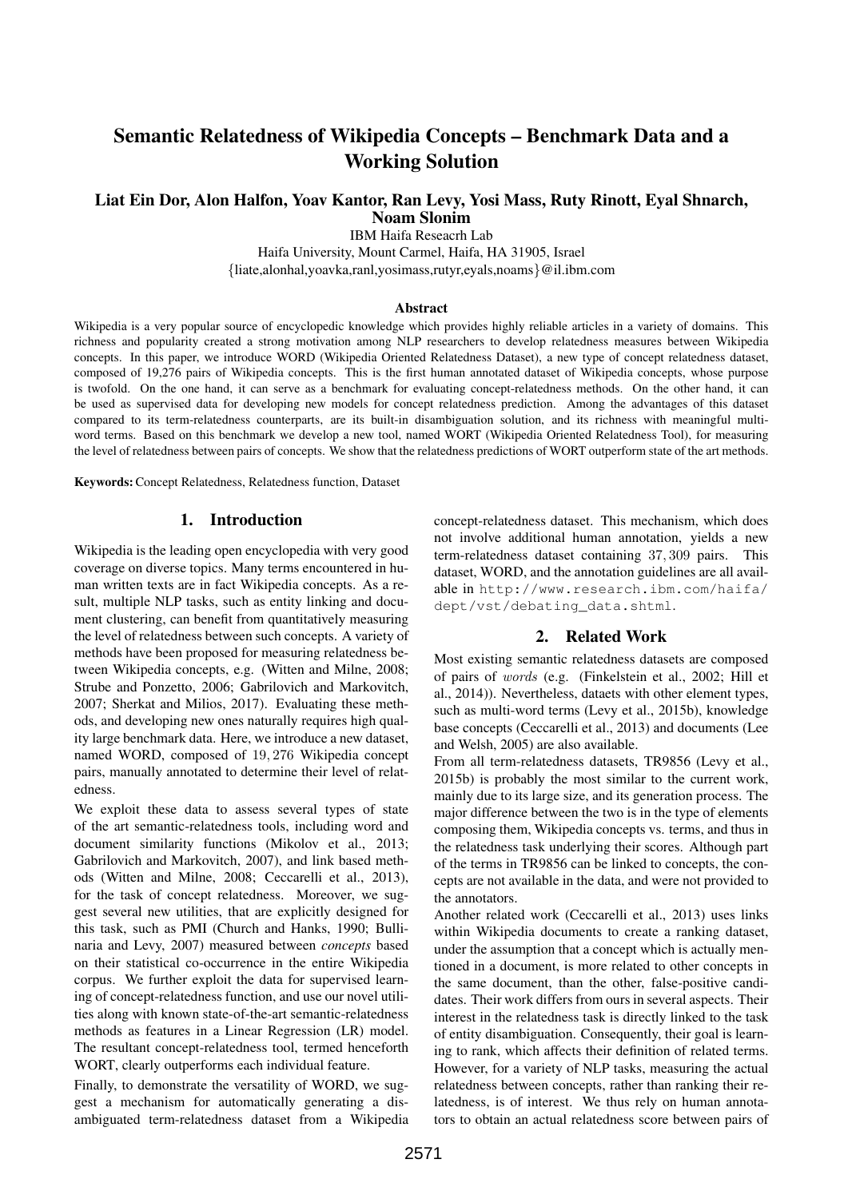# Semantic Relatedness of Wikipedia Concepts – Benchmark Data and a Working Solution

### Liat Ein Dor, Alon Halfon, Yoav Kantor, Ran Levy, Yosi Mass, Ruty Rinott, Eyal Shnarch, Noam Slonim

IBM Haifa Reseacrh Lab

Haifa University, Mount Carmel, Haifa, HA 31905, Israel {liate,alonhal,yoavka,ranl,yosimass,rutyr,eyals,noams}@il.ibm.com

#### Abstract

Wikipedia is a very popular source of encyclopedic knowledge which provides highly reliable articles in a variety of domains. This richness and popularity created a strong motivation among NLP researchers to develop relatedness measures between Wikipedia concepts. In this paper, we introduce WORD (Wikipedia Oriented Relatedness Dataset), a new type of concept relatedness dataset, composed of 19,276 pairs of Wikipedia concepts. This is the first human annotated dataset of Wikipedia concepts, whose purpose is twofold. On the one hand, it can serve as a benchmark for evaluating concept-relatedness methods. On the other hand, it can be used as supervised data for developing new models for concept relatedness prediction. Among the advantages of this dataset compared to its term-relatedness counterparts, are its built-in disambiguation solution, and its richness with meaningful multiword terms. Based on this benchmark we develop a new tool, named WORT (Wikipedia Oriented Relatedness Tool), for measuring the level of relatedness between pairs of concepts. We show that the relatedness predictions of WORT outperform state of the art methods.

Keywords:Concept Relatedness, Relatedness function, Dataset

#### 1. Introduction

Wikipedia is the leading open encyclopedia with very good coverage on diverse topics. Many terms encountered in human written texts are in fact Wikipedia concepts. As a result, multiple NLP tasks, such as entity linking and document clustering, can benefit from quantitatively measuring the level of relatedness between such concepts. A variety of methods have been proposed for measuring relatedness between Wikipedia concepts, e.g. (Witten and Milne, 2008; Strube and Ponzetto, 2006; Gabrilovich and Markovitch, 2007; Sherkat and Milios, 2017). Evaluating these methods, and developing new ones naturally requires high quality large benchmark data. Here, we introduce a new dataset, named WORD, composed of 19, 276 Wikipedia concept pairs, manually annotated to determine their level of relatedness.

We exploit these data to assess several types of state of the art semantic-relatedness tools, including word and document similarity functions (Mikolov et al., 2013; Gabrilovich and Markovitch, 2007), and link based methods (Witten and Milne, 2008; Ceccarelli et al., 2013), for the task of concept relatedness. Moreover, we suggest several new utilities, that are explicitly designed for this task, such as PMI (Church and Hanks, 1990; Bullinaria and Levy, 2007) measured between *concepts* based on their statistical co-occurrence in the entire Wikipedia corpus. We further exploit the data for supervised learning of concept-relatedness function, and use our novel utilities along with known state-of-the-art semantic-relatedness methods as features in a Linear Regression (LR) model. The resultant concept-relatedness tool, termed henceforth WORT, clearly outperforms each individual feature.

Finally, to demonstrate the versatility of WORD, we suggest a mechanism for automatically generating a disambiguated term-relatedness dataset from a Wikipedia concept-relatedness dataset. This mechanism, which does not involve additional human annotation, yields a new term-relatedness dataset containing 37, 309 pairs. This dataset, WORD, and the annotation guidelines are all available in http://www.research.ibm.com/haifa/ dept/vst/debating\_data.shtml.

#### 2. Related Work

Most existing semantic relatedness datasets are composed of pairs of words (e.g. (Finkelstein et al., 2002; Hill et al., 2014)). Nevertheless, dataets with other element types, such as multi-word terms (Levy et al., 2015b), knowledge base concepts (Ceccarelli et al., 2013) and documents (Lee and Welsh, 2005) are also available.

From all term-relatedness datasets, TR9856 (Levy et al., 2015b) is probably the most similar to the current work, mainly due to its large size, and its generation process. The major difference between the two is in the type of elements composing them, Wikipedia concepts vs. terms, and thus in the relatedness task underlying their scores. Although part of the terms in TR9856 can be linked to concepts, the concepts are not available in the data, and were not provided to the annotators.

Another related work (Ceccarelli et al., 2013) uses links within Wikipedia documents to create a ranking dataset, under the assumption that a concept which is actually mentioned in a document, is more related to other concepts in the same document, than the other, false-positive candidates. Their work differs from ours in several aspects. Their interest in the relatedness task is directly linked to the task of entity disambiguation. Consequently, their goal is learning to rank, which affects their definition of related terms. However, for a variety of NLP tasks, measuring the actual relatedness between concepts, rather than ranking their relatedness, is of interest. We thus rely on human annotators to obtain an actual relatedness score between pairs of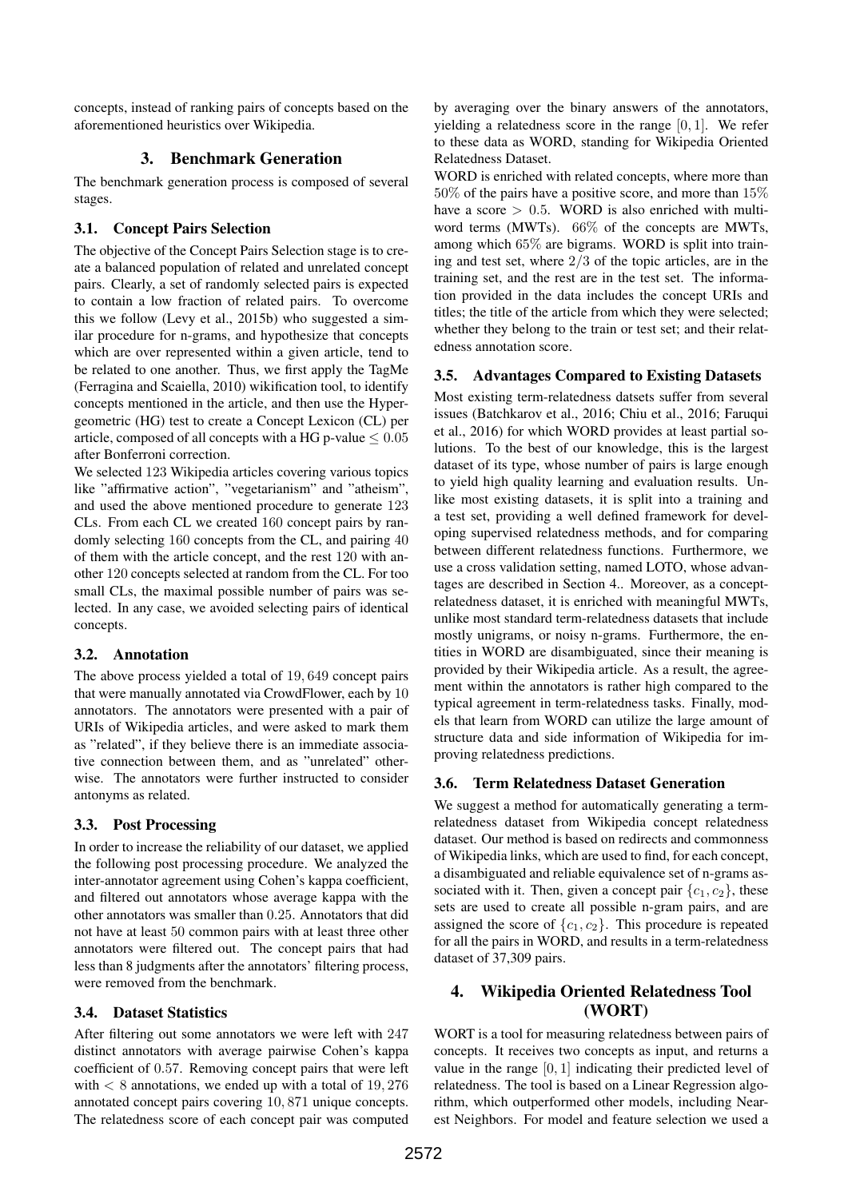concepts, instead of ranking pairs of concepts based on the aforementioned heuristics over Wikipedia.

### 3. Benchmark Generation

The benchmark generation process is composed of several stages.

### 3.1. Concept Pairs Selection

The objective of the Concept Pairs Selection stage is to create a balanced population of related and unrelated concept pairs. Clearly, a set of randomly selected pairs is expected to contain a low fraction of related pairs. To overcome this we follow (Levy et al., 2015b) who suggested a similar procedure for n-grams, and hypothesize that concepts which are over represented within a given article, tend to be related to one another. Thus, we first apply the TagMe (Ferragina and Scaiella, 2010) wikification tool, to identify concepts mentioned in the article, and then use the Hypergeometric (HG) test to create a Concept Lexicon (CL) per article, composed of all concepts with a HG p-value  $\leq 0.05$ after Bonferroni correction.

We selected 123 Wikipedia articles covering various topics like "affirmative action", "vegetarianism" and "atheism", and used the above mentioned procedure to generate 123 CLs. From each CL we created 160 concept pairs by randomly selecting 160 concepts from the CL, and pairing 40 of them with the article concept, and the rest 120 with another 120 concepts selected at random from the CL. For too small CLs, the maximal possible number of pairs was selected. In any case, we avoided selecting pairs of identical concepts.

### 3.2. Annotation

The above process yielded a total of 19, 649 concept pairs that were manually annotated via CrowdFlower, each by 10 annotators. The annotators were presented with a pair of URIs of Wikipedia articles, and were asked to mark them as "related", if they believe there is an immediate associative connection between them, and as "unrelated" otherwise. The annotators were further instructed to consider antonyms as related.

# 3.3. Post Processing

In order to increase the reliability of our dataset, we applied the following post processing procedure. We analyzed the inter-annotator agreement using Cohen's kappa coefficient, and filtered out annotators whose average kappa with the other annotators was smaller than 0.25. Annotators that did not have at least 50 common pairs with at least three other annotators were filtered out. The concept pairs that had less than 8 judgments after the annotators' filtering process, were removed from the benchmark.

# 3.4. Dataset Statistics

After filtering out some annotators we were left with 247 distinct annotators with average pairwise Cohen's kappa coefficient of 0.57. Removing concept pairs that were left with  $< 8$  annotations, we ended up with a total of 19,276 annotated concept pairs covering 10, 871 unique concepts. The relatedness score of each concept pair was computed by averaging over the binary answers of the annotators, yielding a relatedness score in the range [0, 1]. We refer to these data as WORD, standing for Wikipedia Oriented Relatedness Dataset.

WORD is enriched with related concepts, where more than 50% of the pairs have a positive score, and more than 15% have a score  $> 0.5$ . WORD is also enriched with multiword terms (MWTs). 66% of the concepts are MWTs, among which 65% are bigrams. WORD is split into training and test set, where 2/3 of the topic articles, are in the training set, and the rest are in the test set. The information provided in the data includes the concept URIs and titles; the title of the article from which they were selected; whether they belong to the train or test set; and their relatedness annotation score.

### 3.5. Advantages Compared to Existing Datasets

Most existing term-relatedness datsets suffer from several issues (Batchkarov et al., 2016; Chiu et al., 2016; Faruqui et al., 2016) for which WORD provides at least partial solutions. To the best of our knowledge, this is the largest dataset of its type, whose number of pairs is large enough to yield high quality learning and evaluation results. Unlike most existing datasets, it is split into a training and a test set, providing a well defined framework for developing supervised relatedness methods, and for comparing between different relatedness functions. Furthermore, we use a cross validation setting, named LOTO, whose advantages are described in Section 4.. Moreover, as a conceptrelatedness dataset, it is enriched with meaningful MWTs, unlike most standard term-relatedness datasets that include mostly unigrams, or noisy n-grams. Furthermore, the entities in WORD are disambiguated, since their meaning is provided by their Wikipedia article. As a result, the agreement within the annotators is rather high compared to the typical agreement in term-relatedness tasks. Finally, models that learn from WORD can utilize the large amount of structure data and side information of Wikipedia for improving relatedness predictions.

# 3.6. Term Relatedness Dataset Generation

We suggest a method for automatically generating a termrelatedness dataset from Wikipedia concept relatedness dataset. Our method is based on redirects and commonness of Wikipedia links, which are used to find, for each concept, a disambiguated and reliable equivalence set of n-grams associated with it. Then, given a concept pair  $\{c_1, c_2\}$ , these sets are used to create all possible n-gram pairs, and are assigned the score of  $\{c_1, c_2\}$ . This procedure is repeated for all the pairs in WORD, and results in a term-relatedness dataset of 37,309 pairs.

# 4. Wikipedia Oriented Relatedness Tool (WORT)

WORT is a tool for measuring relatedness between pairs of concepts. It receives two concepts as input, and returns a value in the range [0, 1] indicating their predicted level of relatedness. The tool is based on a Linear Regression algorithm, which outperformed other models, including Nearest Neighbors. For model and feature selection we used a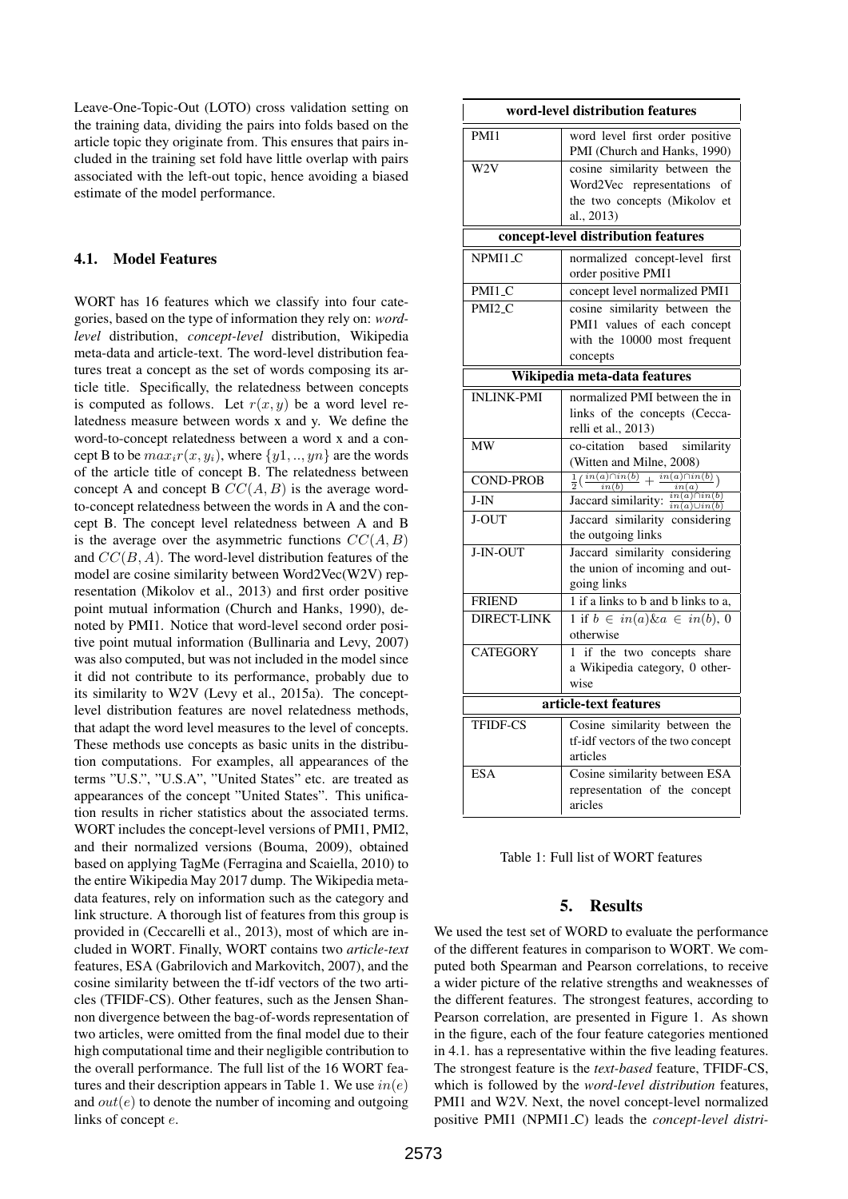Leave-One-Topic-Out (LOTO) cross validation setting on the training data, dividing the pairs into folds based on the article topic they originate from. This ensures that pairs included in the training set fold have little overlap with pairs associated with the left-out topic, hence avoiding a biased estimate of the model performance.

#### 4.1. Model Features

WORT has 16 features which we classify into four categories, based on the type of information they rely on: *wordlevel* distribution, *concept-level* distribution, Wikipedia meta-data and article-text. The word-level distribution features treat a concept as the set of words composing its article title. Specifically, the relatedness between concepts is computed as follows. Let  $r(x, y)$  be a word level relatedness measure between words x and y. We define the word-to-concept relatedness between a word x and a concept B to be  $max_i r(x, y_i)$ , where  $\{y_1, ..., y_n\}$  are the words of the article title of concept B. The relatedness between concept A and concept B  $CC(A, B)$  is the average wordto-concept relatedness between the words in A and the concept B. The concept level relatedness between A and B is the average over the asymmetric functions  $CC(A, B)$ and  $CC(B, A)$ . The word-level distribution features of the model are cosine similarity between Word2Vec(W2V) representation (Mikolov et al., 2013) and first order positive point mutual information (Church and Hanks, 1990), denoted by PMI1. Notice that word-level second order positive point mutual information (Bullinaria and Levy, 2007) was also computed, but was not included in the model since it did not contribute to its performance, probably due to its similarity to W2V (Levy et al., 2015a). The conceptlevel distribution features are novel relatedness methods, that adapt the word level measures to the level of concepts. These methods use concepts as basic units in the distribution computations. For examples, all appearances of the terms "U.S.", "U.S.A", "United States" etc. are treated as appearances of the concept "United States". This unification results in richer statistics about the associated terms. WORT includes the concept-level versions of PMI1, PMI2, and their normalized versions (Bouma, 2009), obtained based on applying TagMe (Ferragina and Scaiella, 2010) to the entire Wikipedia May 2017 dump. The Wikipedia metadata features, rely on information such as the category and link structure. A thorough list of features from this group is provided in (Ceccarelli et al., 2013), most of which are included in WORT. Finally, WORT contains two *article-text* features, ESA (Gabrilovich and Markovitch, 2007), and the cosine similarity between the tf-idf vectors of the two articles (TFIDF-CS). Other features, such as the Jensen Shannon divergence between the bag-of-words representation of two articles, were omitted from the final model due to their high computational time and their negligible contribution to the overall performance. The full list of the 16 WORT features and their description appears in Table 1. We use  $in(e)$ and  $out(e)$  to denote the number of incoming and outgoing links of concept e.

| word-level distribution features    |                                                                                          |
|-------------------------------------|------------------------------------------------------------------------------------------|
| PMI1                                | word level first order positive<br>PMI (Church and Hanks, 1990)                          |
| W <sub>2</sub> V                    | cosine similarity between the                                                            |
|                                     | Word2Vec representations of                                                              |
|                                     | the two concepts (Mikolov et                                                             |
|                                     | al., 2013)                                                                               |
| concept-level distribution features |                                                                                          |
| NPMI1_C                             | normalized concept-level<br>first                                                        |
|                                     | order positive PMI1                                                                      |
| PMI1_C                              | concept level normalized PMI1                                                            |
| PMI <sub>2</sub> C                  | cosine similarity between the                                                            |
|                                     | PMI1 values of each concept                                                              |
|                                     | with the 10000 most frequent                                                             |
|                                     | concepts                                                                                 |
| Wikipedia meta-data features        |                                                                                          |
| <b>INLINK-PMI</b>                   | normalized PMI between the in                                                            |
|                                     | links of the concepts (Cecca-                                                            |
|                                     | relli et al., 2013)                                                                      |
| <b>MW</b>                           | co-citation<br>based<br>similarity                                                       |
|                                     | (Witten and Milne, 2008)                                                                 |
| <b>COND-PROB</b>                    | $\frac{1}{2}(\frac{in(a)\cap in(b)}{in(b)}+\frac{in(a)\cap in(b)}{2})$<br>in(b)<br>in(a) |
| $J-IN$                              | $in(a)\cap in(b)$<br>Jaccard similarity:<br>$in(a)\cup in(b)$                            |
| J-OUT                               | Jaccard similarity considering                                                           |
|                                     | the outgoing links                                                                       |
| J-IN-OUT                            | Jaccard similarity considering                                                           |
|                                     | the union of incoming and out-                                                           |
|                                     | going links                                                                              |
| <b>FRIEND</b>                       | 1 if a links to b and b links to a,                                                      |
| DIRECT-LINK                         | 1 if $b \in in(a) \& a \in in(b), 0$                                                     |
|                                     | otherwise                                                                                |
| <b>CATEGORY</b>                     | 1 if the two concepts share                                                              |
|                                     | a Wikipedia category, 0 other-                                                           |
|                                     | wise                                                                                     |
| article-text features               |                                                                                          |
| <b>TFIDF-CS</b>                     | Cosine similarity between the                                                            |
|                                     | tf-idf vectors of the two concept                                                        |
|                                     | articles                                                                                 |
| <b>ESA</b>                          | Cosine similarity between ESA                                                            |
|                                     | representation of the concept                                                            |
|                                     | aricles                                                                                  |

#### 5. Results

We used the test set of WORD to evaluate the performance of the different features in comparison to WORT. We computed both Spearman and Pearson correlations, to receive a wider picture of the relative strengths and weaknesses of the different features. The strongest features, according to Pearson correlation, are presented in Figure 1. As shown in the figure, each of the four feature categories mentioned in 4.1. has a representative within the five leading features. The strongest feature is the *text-based* feature, TFIDF-CS, which is followed by the *word-level distribution* features, PMI1 and W2V. Next, the novel concept-level normalized positive PMI1 (NPMI1 C) leads the *concept-level distri-*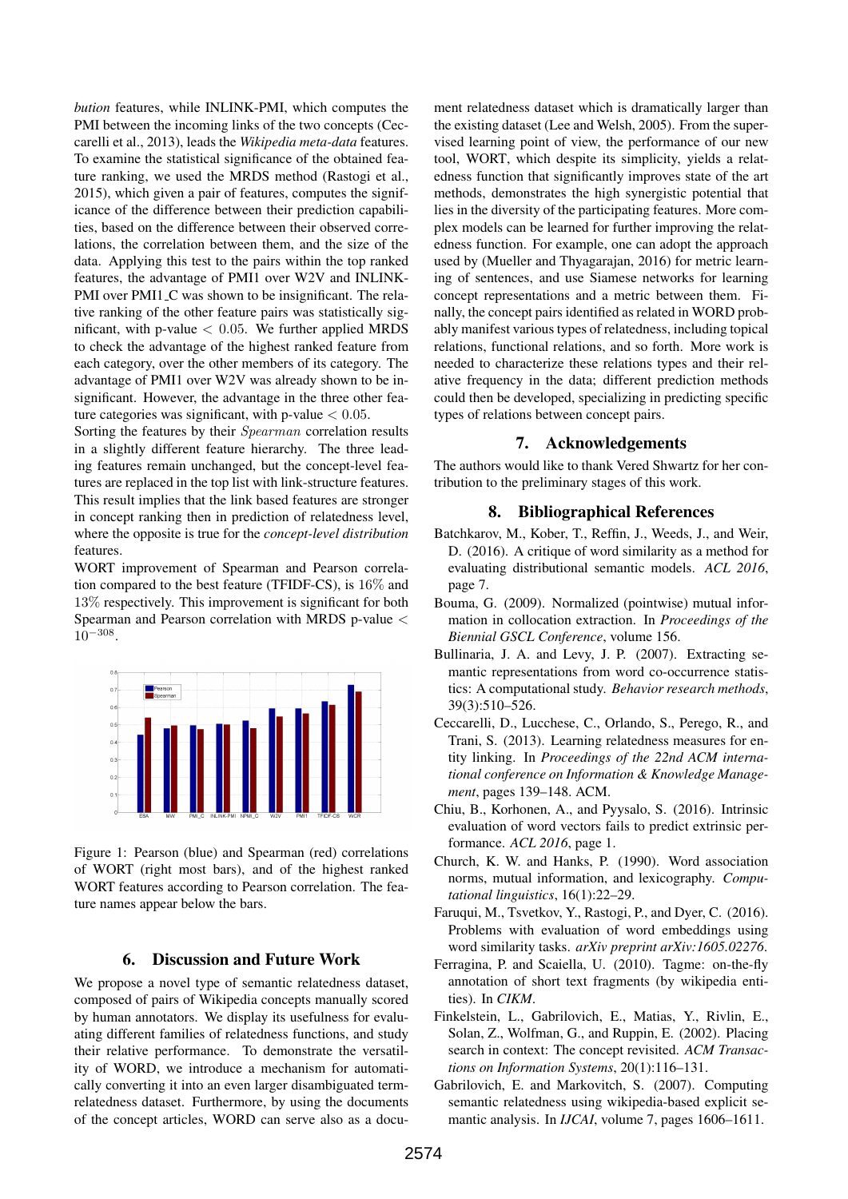*bution* features, while INLINK-PMI, which computes the PMI between the incoming links of the two concepts (Ceccarelli et al., 2013), leads the *Wikipedia meta-data* features. To examine the statistical significance of the obtained feature ranking, we used the MRDS method (Rastogi et al., 2015), which given a pair of features, computes the significance of the difference between their prediction capabilities, based on the difference between their observed correlations, the correlation between them, and the size of the data. Applying this test to the pairs within the top ranked features, the advantage of PMI1 over W2V and INLINK-PMI over PMI1<sub>-C</sub> was shown to be insignificant. The relative ranking of the other feature pairs was statistically significant, with p-value  $< 0.05$ . We further applied MRDS to check the advantage of the highest ranked feature from each category, over the other members of its category. The advantage of PMI1 over W2V was already shown to be insignificant. However, the advantage in the three other feature categories was significant, with p-value  $< 0.05$ .

Sorting the features by their Spearman correlation results in a slightly different feature hierarchy. The three leading features remain unchanged, but the concept-level features are replaced in the top list with link-structure features. This result implies that the link based features are stronger in concept ranking then in prediction of relatedness level, where the opposite is true for the *concept-level distribution* features.

WORT improvement of Spearman and Pearson correlation compared to the best feature (TFIDF-CS), is 16% and 13% respectively. This improvement is significant for both Spearman and Pearson correlation with MRDS p-value <  $10^{-308}$ .



Figure 1: Pearson (blue) and Spearman (red) correlations of WORT (right most bars), and of the highest ranked WORT features according to Pearson correlation. The feature names appear below the bars.

### 6. Discussion and Future Work

We propose a novel type of semantic relatedness dataset, composed of pairs of Wikipedia concepts manually scored by human annotators. We display its usefulness for evaluating different families of relatedness functions, and study their relative performance. To demonstrate the versatility of WORD, we introduce a mechanism for automatically converting it into an even larger disambiguated termrelatedness dataset. Furthermore, by using the documents of the concept articles, WORD can serve also as a document relatedness dataset which is dramatically larger than the existing dataset (Lee and Welsh, 2005). From the supervised learning point of view, the performance of our new tool, WORT, which despite its simplicity, yields a relatedness function that significantly improves state of the art methods, demonstrates the high synergistic potential that lies in the diversity of the participating features. More complex models can be learned for further improving the relatedness function. For example, one can adopt the approach used by (Mueller and Thyagarajan, 2016) for metric learning of sentences, and use Siamese networks for learning concept representations and a metric between them. Finally, the concept pairs identified as related in WORD probably manifest various types of relatedness, including topical relations, functional relations, and so forth. More work is needed to characterize these relations types and their relative frequency in the data; different prediction methods could then be developed, specializing in predicting specific types of relations between concept pairs.

#### 7. Acknowledgements

The authors would like to thank Vered Shwartz for her contribution to the preliminary stages of this work.

#### 8. Bibliographical References

- Batchkarov, M., Kober, T., Reffin, J., Weeds, J., and Weir, D. (2016). A critique of word similarity as a method for evaluating distributional semantic models. *ACL 2016*, page 7.
- Bouma, G. (2009). Normalized (pointwise) mutual information in collocation extraction. In *Proceedings of the Biennial GSCL Conference*, volume 156.
- Bullinaria, J. A. and Levy, J. P. (2007). Extracting semantic representations from word co-occurrence statistics: A computational study. *Behavior research methods*, 39(3):510–526.
- Ceccarelli, D., Lucchese, C., Orlando, S., Perego, R., and Trani, S. (2013). Learning relatedness measures for entity linking. In *Proceedings of the 22nd ACM international conference on Information & Knowledge Management*, pages 139–148. ACM.
- Chiu, B., Korhonen, A., and Pyysalo, S. (2016). Intrinsic evaluation of word vectors fails to predict extrinsic performance. *ACL 2016*, page 1.
- Church, K. W. and Hanks, P. (1990). Word association norms, mutual information, and lexicography. *Computational linguistics*, 16(1):22–29.
- Faruqui, M., Tsvetkov, Y., Rastogi, P., and Dyer, C. (2016). Problems with evaluation of word embeddings using word similarity tasks. *arXiv preprint arXiv:1605.02276*.
- Ferragina, P. and Scaiella, U. (2010). Tagme: on-the-fly annotation of short text fragments (by wikipedia entities). In *CIKM*.
- Finkelstein, L., Gabrilovich, E., Matias, Y., Rivlin, E., Solan, Z., Wolfman, G., and Ruppin, E. (2002). Placing search in context: The concept revisited. *ACM Transactions on Information Systems*, 20(1):116–131.
- Gabrilovich, E. and Markovitch, S. (2007). Computing semantic relatedness using wikipedia-based explicit semantic analysis. In *IJCAI*, volume 7, pages 1606–1611.